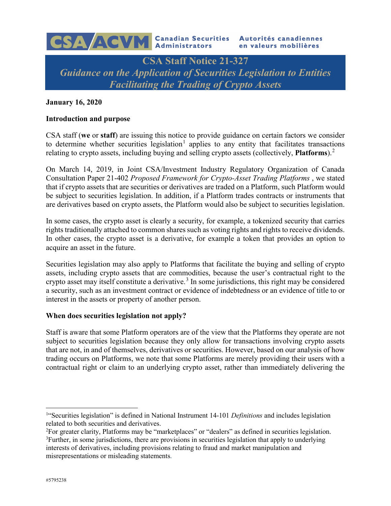

# **January 16, 2020**

### **Introduction and purpose**

CSA staff (**we** or **staff**) are issuing this notice to provide guidance on certain factors we consider to determine whether securities legislation<sup>[1](#page-0-0)</sup> applies to any entity that facilitates transactions relating to crypto assets, including buying and selling crypto assets (collectively, **Platforms**). [2](#page-0-1)

On March 14, 2019, in Joint CSA/Investment Industry Regulatory Organization of Canada Consultation Paper 21-402 *Proposed Framework for Crypto-Asset Trading Platforms* , we stated that if crypto assets that are securities or derivatives are traded on a Platform, such Platform would be subject to securities legislation. In addition, if a Platform trades contracts or instruments that are derivatives based on crypto assets, the Platform would also be subject to securities legislation.

In some cases, the crypto asset is clearly a security, for example, a tokenized security that carries rights traditionally attached to common shares such as voting rights and rights to receive dividends. In other cases, the crypto asset is a derivative, for example a token that provides an option to acquire an asset in the future.

Securities legislation may also apply to Platforms that facilitate the buying and selling of crypto assets, including crypto assets that are commodities, because the user's contractual right to the crypto asset may itself constitute a derivative. [3](#page-0-2) In some jurisdictions, this right may be considered a security, such as an investment contract or evidence of indebtedness or an evidence of title to or interest in the assets or property of another person.

### **When does securities legislation not apply?**

Staff is aware that some Platform operators are of the view that the Platforms they operate are not subject to securities legislation because they only allow for transactions involving crypto assets that are not, in and of themselves, derivatives or securities. However, based on our analysis of how trading occurs on Platforms, we note that some Platforms are merely providing their users with a contractual right or claim to an underlying crypto asset, rather than immediately delivering the

<span id="page-0-0"></span> $\frac{1}{1}$ <sup>1</sup>"Securities legislation" is defined in National Instrument 14-101 *Definitions* and includes legislation related to both securities and derivatives.

<span id="page-0-2"></span><span id="page-0-1"></span><sup>&</sup>lt;sup>2</sup>For greater clarity, Platforms may be "marketplaces" or "dealers" as defined in securities legislation. <sup>3</sup>Further, in some jurisdictions, there are provisions in securities legislation that apply to underlying interests of derivatives, including provisions relating to fraud and market manipulation and misrepresentations or misleading statements.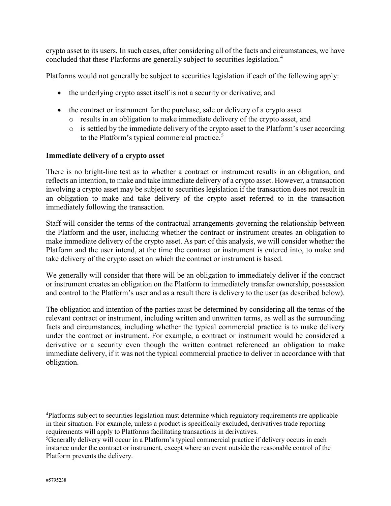crypto asset to its users. In such cases, after considering all of the facts and circumstances, we have concluded that these Platforms are generally subject to securities legislation.[4](#page-1-0)

Platforms would not generally be subject to securities legislation if each of the following apply:

- the underlying crypto asset itself is not a security or derivative; and
- the contract or instrument for the purchase, sale or delivery of a crypto asset
	- o results in an obligation to make immediate delivery of the crypto asset, and
	- o is settled by the immediate delivery of the crypto asset to the Platform's user according to the Platform's typical commercial practice.<sup>[5](#page-1-1)</sup>

### **Immediate delivery of a crypto asset**

There is no bright-line test as to whether a contract or instrument results in an obligation, and reflects an intention, to make and take immediate delivery of a crypto asset. However, a transaction involving a crypto asset may be subject to securities legislation if the transaction does not result in an obligation to make and take delivery of the crypto asset referred to in the transaction immediately following the transaction.

Staff will consider the terms of the contractual arrangements governing the relationship between the Platform and the user, including whether the contract or instrument creates an obligation to make immediate delivery of the crypto asset. As part of this analysis, we will consider whether the Platform and the user intend, at the time the contract or instrument is entered into, to make and take delivery of the crypto asset on which the contract or instrument is based.

We generally will consider that there will be an obligation to immediately deliver if the contract or instrument creates an obligation on the Platform to immediately transfer ownership, possession and control to the Platform's user and as a result there is delivery to the user (as described below).

The obligation and intention of the parties must be determined by considering all the terms of the relevant contract or instrument, including written and unwritten terms, as well as the surrounding facts and circumstances, including whether the typical commercial practice is to make delivery under the contract or instrument. For example, a contract or instrument would be considered a derivative or a security even though the written contract referenced an obligation to make immediate delivery, if it was not the typical commercial practice to deliver in accordance with that obligation.

<span id="page-1-0"></span> $\frac{1}{4}$ Platforms subject to securities legislation must determine which regulatory requirements are applicable in their situation. For example, unless a product is specifically excluded, derivatives trade reporting requirements will apply to Platforms facilitating transactions in derivatives.

<span id="page-1-1"></span><sup>&</sup>lt;sup>5</sup>Generally delivery will occur in a Platform's typical commercial practice if delivery occurs in each instance under the contract or instrument, except where an event outside the reasonable control of the Platform prevents the delivery.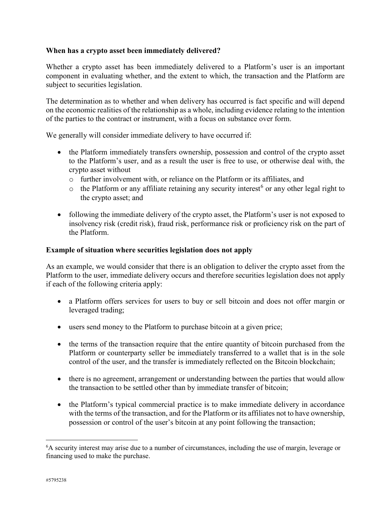# **When has a crypto asset been immediately delivered?**

Whether a crypto asset has been immediately delivered to a Platform's user is an important component in evaluating whether, and the extent to which, the transaction and the Platform are subject to securities legislation.

The determination as to whether and when delivery has occurred is fact specific and will depend on the economic realities of the relationship as a whole, including evidence relating to the intention of the parties to the contract or instrument, with a focus on substance over form.

We generally will consider immediate delivery to have occurred if:

- the Platform immediately transfers ownership, possession and control of the crypto asset to the Platform's user, and as a result the user is free to use, or otherwise deal with, the crypto asset without
	- o further involvement with, or reliance on the Platform or its affiliates, and
	- $\circ$  the Platform or any affiliate retaining any security interest<sup>[6](#page-2-0)</sup> or any other legal right to the crypto asset; and
- following the immediate delivery of the crypto asset, the Platform's user is not exposed to insolvency risk (credit risk), fraud risk, performance risk or proficiency risk on the part of the Platform.

# **Example of situation where securities legislation does not apply**

As an example, we would consider that there is an obligation to deliver the crypto asset from the Platform to the user, immediate delivery occurs and therefore securities legislation does not apply if each of the following criteria apply:

- a Platform offers services for users to buy or sell bitcoin and does not offer margin or leveraged trading;
- users send money to the Platform to purchase bitcoin at a given price;
- the terms of the transaction require that the entire quantity of bitcoin purchased from the Platform or counterparty seller be immediately transferred to a wallet that is in the sole control of the user, and the transfer is immediately reflected on the Bitcoin blockchain;
- there is no agreement, arrangement or understanding between the parties that would allow the transaction to be settled other than by immediate transfer of bitcoin;
- the Platform's typical commercial practice is to make immediate delivery in accordance with the terms of the transaction, and for the Platform or its affiliates not to have ownership, possession or control of the user's bitcoin at any point following the transaction;

<span id="page-2-0"></span> <sup>6</sup> <sup>6</sup>A security interest may arise due to a number of circumstances, including the use of margin, leverage or financing used to make the purchase.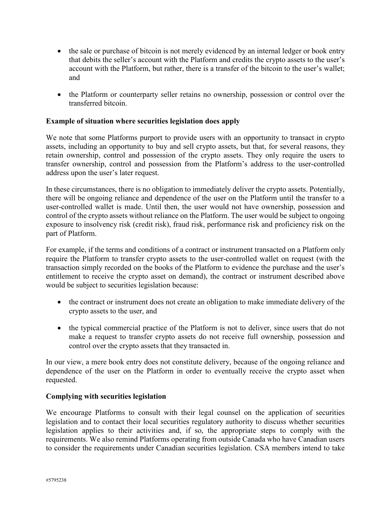- the sale or purchase of bitcoin is not merely evidenced by an internal ledger or book entry that debits the seller's account with the Platform and credits the crypto assets to the user's account with the Platform, but rather, there is a transfer of the bitcoin to the user's wallet; and
- the Platform or counterparty seller retains no ownership, possession or control over the transferred bitcoin.

# **Example of situation where securities legislation does apply**

We note that some Platforms purport to provide users with an opportunity to transact in crypto assets, including an opportunity to buy and sell crypto assets, but that, for several reasons, they retain ownership, control and possession of the crypto assets. They only require the users to transfer ownership, control and possession from the Platform's address to the user-controlled address upon the user's later request.

In these circumstances, there is no obligation to immediately deliver the crypto assets. Potentially, there will be ongoing reliance and dependence of the user on the Platform until the transfer to a user-controlled wallet is made. Until then, the user would not have ownership, possession and control of the crypto assets without reliance on the Platform. The user would be subject to ongoing exposure to insolvency risk (credit risk), fraud risk, performance risk and proficiency risk on the part of Platform.

For example, if the terms and conditions of a contract or instrument transacted on a Platform only require the Platform to transfer crypto assets to the user-controlled wallet on request (with the transaction simply recorded on the books of the Platform to evidence the purchase and the user's entitlement to receive the crypto asset on demand), the contract or instrument described above would be subject to securities legislation because:

- the contract or instrument does not create an obligation to make immediate delivery of the crypto assets to the user, and
- the typical commercial practice of the Platform is not to deliver, since users that do not make a request to transfer crypto assets do not receive full ownership, possession and control over the crypto assets that they transacted in.

In our view, a mere book entry does not constitute delivery, because of the ongoing reliance and dependence of the user on the Platform in order to eventually receive the crypto asset when requested.

### **Complying with securities legislation**

We encourage Platforms to consult with their legal counsel on the application of securities legislation and to contact their local securities regulatory authority to discuss whether securities legislation applies to their activities and, if so, the appropriate steps to comply with the requirements. We also remind Platforms operating from outside Canada who have Canadian users to consider the requirements under Canadian securities legislation. CSA members intend to take